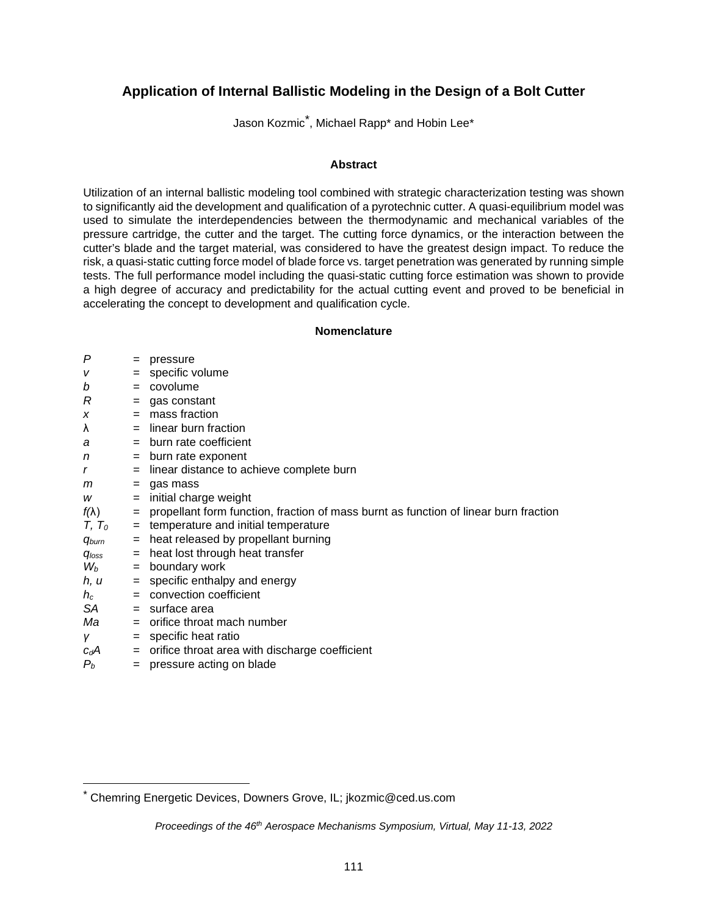# **Application of Internal Ballistic Modeling in the Design of a Bolt Cutter**

Jason Kozmic[\\*](#page-0-0) , Michael Rapp\* and Hobin Lee\*

# **Abstract**

Utilization of an internal ballistic modeling tool combined with strategic characterization testing was shown to significantly aid the development and qualification of a pyrotechnic cutter. A quasi-equilibrium model was used to simulate the interdependencies between the thermodynamic and mechanical variables of the pressure cartridge, the cutter and the target. The cutting force dynamics, or the interaction between the cutter's blade and the target material, was considered to have the greatest design impact. To reduce the risk, a quasi-static cutting force model of blade force vs. target penetration was generated by running simple tests. The full performance model including the quasi-static cutting force estimation was shown to provide a high degree of accuracy and predictability for the actual cutting event and proved to be beneficial in accelerating the concept to development and qualification cycle.

# **Nomenclature**

| P              | $=$ | pressure                                                                             |
|----------------|-----|--------------------------------------------------------------------------------------|
| V              | $=$ | specific volume                                                                      |
| b              | $=$ | covolume                                                                             |
| R              |     | $=$ gas constant                                                                     |
| X              |     | $=$ mass fraction                                                                    |
| λ              |     | = linear burn fraction                                                               |
| a              |     | = burn rate coefficient                                                              |
| n              |     | $=$ burn rate exponent                                                               |
| r              |     | $=$ linear distance to achieve complete burn                                         |
| m              |     | $=$ gas mass                                                                         |
| w              | $=$ | initial charge weight                                                                |
| $f(\lambda)$   | $=$ | propellant form function, fraction of mass burnt as function of linear burn fraction |
| $T, T_0$       |     | $=$ temperature and initial temperature                                              |
| <b>G</b> burn  |     | = heat released by propellant burning                                                |
| $q_{loss}$     | $=$ | heat lost through heat transfer                                                      |
| $\mathsf{W}_b$ |     | $=$ boundary work                                                                    |
| h, u           |     | $=$ specific enthalpy and energy                                                     |
| $h_c$          |     | $=$ convection coefficient                                                           |
| SA             |     | $=$ surface area                                                                     |
| Ma             |     | $=$ orifice throat mach number                                                       |
| Υ              |     | $=$ specific heat ratio                                                              |
| $c_dA$         |     | $=$ orifice throat area with discharge coefficient                                   |
| $P_b$          | $=$ | pressure acting on blade                                                             |
|                |     |                                                                                      |

<span id="page-0-0"></span><sup>\*</sup> Chemring Energetic Devices, Downers Grove, IL; jkozmic@ced.us.com

*Proceedings of the 46th Aerospace Mechanisms Symposium, Virtual, May 11-13, 2022*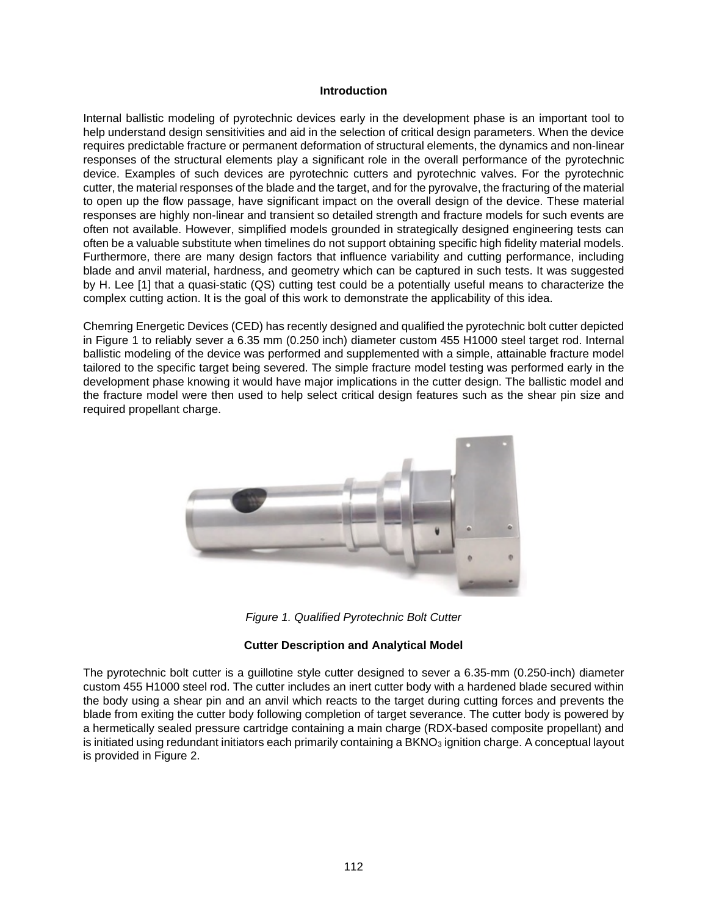# **Introduction**

Internal ballistic modeling of pyrotechnic devices early in the development phase is an important tool to help understand design sensitivities and aid in the selection of critical design parameters. When the device requires predictable fracture or permanent deformation of structural elements, the dynamics and non-linear responses of the structural elements play a significant role in the overall performance of the pyrotechnic device. Examples of such devices are pyrotechnic cutters and pyrotechnic valves. For the pyrotechnic cutter, the material responses of the blade and the target, and for the pyrovalve, the fracturing of the material to open up the flow passage, have significant impact on the overall design of the device. These material responses are highly non-linear and transient so detailed strength and fracture models for such events are often not available. However, simplified models grounded in strategically designed engineering tests can often be a valuable substitute when timelines do not support obtaining specific high fidelity material models. Furthermore, there are many design factors that influence variability and cutting performance, including blade and anvil material, hardness, and geometry which can be captured in such tests. It was suggested by H. Lee [1] that a quasi-static (QS) cutting test could be a potentially useful means to characterize the complex cutting action. It is the goal of this work to demonstrate the applicability of this idea.

Chemring Energetic Devices (CED) has recently designed and qualified the pyrotechnic bolt cutter depicted in Figure 1 to reliably sever a 6.35 mm (0.250 inch) diameter custom 455 H1000 steel target rod. Internal ballistic modeling of the device was performed and supplemented with a simple, attainable fracture model tailored to the specific target being severed. The simple fracture model testing was performed early in the development phase knowing it would have major implications in the cutter design. The ballistic model and the fracture model were then used to help select critical design features such as the shear pin size and required propellant charge.



*Figure 1. Qualified Pyrotechnic Bolt Cutter* 

# **Cutter Description and Analytical Model**

The pyrotechnic bolt cutter is a guillotine style cutter designed to sever a 6.35-mm (0.250-inch) diameter custom 455 H1000 steel rod. The cutter includes an inert cutter body with a hardened blade secured within the body using a shear pin and an anvil which reacts to the target during cutting forces and prevents the blade from exiting the cutter body following completion of target severance. The cutter body is powered by a hermetically sealed pressure cartridge containing a main charge (RDX-based composite propellant) and is initiated using redundant initiators each primarily containing a BKNO $_3$  ignition charge. A conceptual layout is provided in Figure 2.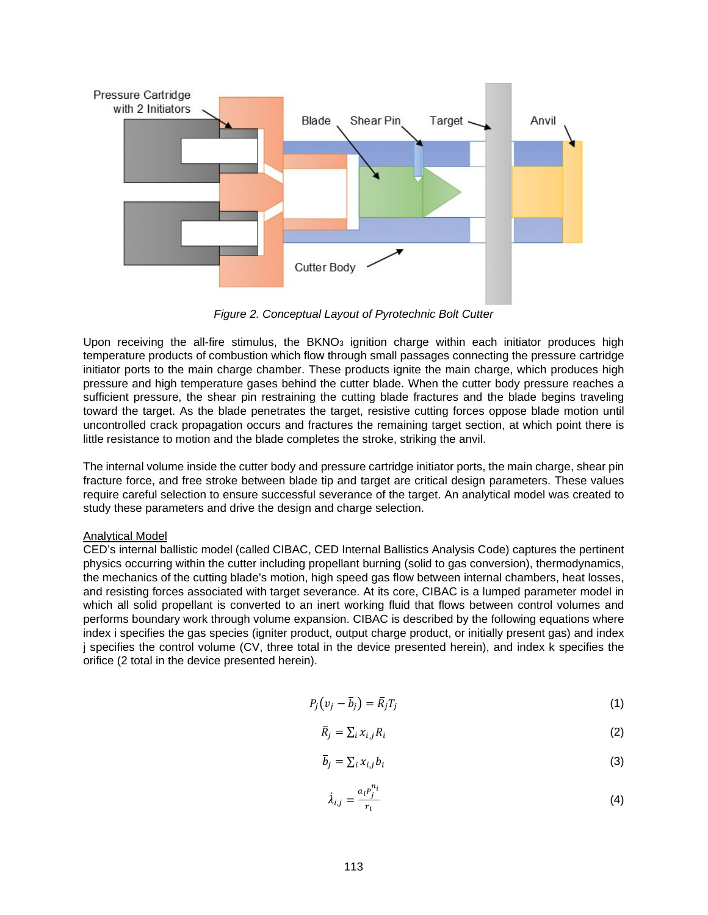

*Figure 2. Conceptual Layout of Pyrotechnic Bolt Cutter* 

Upon receiving the all-fire stimulus, the  $BKNO<sub>3</sub>$  ignition charge within each initiator produces high temperature products of combustion which flow through small passages connecting the pressure cartridge initiator ports to the main charge chamber. These products ignite the main charge, which produces high pressure and high temperature gases behind the cutter blade. When the cutter body pressure reaches a sufficient pressure, the shear pin restraining the cutting blade fractures and the blade begins traveling toward the target. As the blade penetrates the target, resistive cutting forces oppose blade motion until uncontrolled crack propagation occurs and fractures the remaining target section, at which point there is little resistance to motion and the blade completes the stroke, striking the anvil.

The internal volume inside the cutter body and pressure cartridge initiator ports, the main charge, shear pin fracture force, and free stroke between blade tip and target are critical design parameters. These values require careful selection to ensure successful severance of the target. An analytical model was created to study these parameters and drive the design and charge selection.

# Analytical Model

CED's internal ballistic model (called CIBAC, CED Internal Ballistics Analysis Code) captures the pertinent physics occurring within the cutter including propellant burning (solid to gas conversion), thermodynamics, the mechanics of the cutting blade's motion, high speed gas flow between internal chambers, heat losses, and resisting forces associated with target severance. At its core, CIBAC is a lumped parameter model in which all solid propellant is converted to an inert working fluid that flows between control volumes and performs boundary work through volume expansion. CIBAC is described by the following equations where index i specifies the gas species (igniter product, output charge product, or initially present gas) and index j specifies the control volume (CV, three total in the device presented herein), and index k specifies the orifice (2 total in the device presented herein).

$$
P_j(v_j - \bar{b}_j) = \bar{R}_j T_j \tag{1}
$$

$$
\bar{R}_j = \sum_i x_{i,j} R_i \tag{2}
$$

$$
\bar{b}_j = \sum_i x_{i,j} b_i \tag{3}
$$

$$
\lambda_{i,j} = \frac{a_i p_j^{n_i}}{r_i} \tag{4}
$$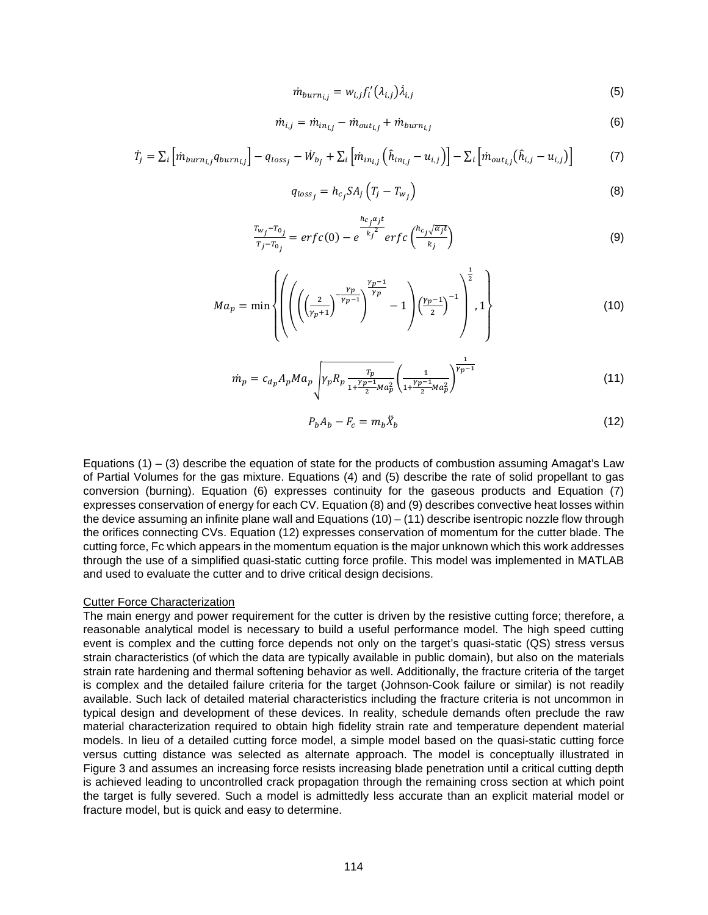$$
\dot{m}_{burn_{i,j}} = w_{i,j} f'_i(\lambda_{i,j}) \dot{\lambda}_{i,j}
$$
\n(5)

$$
\dot{m}_{i,j} = \dot{m}_{in_{i,j}} - \dot{m}_{out_{i,j}} + \dot{m}_{burn_{i,j}} \tag{6}
$$

$$
\dot{T}_j = \sum_i \left[ \dot{m}_{burn_{i,j}} q_{burn_{i,j}} \right] - q_{loss_j} - \dot{W}_{bj} + \sum_i \left[ \dot{m}_{in_{i,j}} \left( \hat{h}_{in_{i,j}} - u_{i,j} \right) \right] - \sum_i \left[ \dot{m}_{out_{i,j}} (\hat{h}_{i,j} - u_{i,j}) \right] \tag{7}
$$

$$
q_{loss_j} = h_{c_j} S A_j \left( T_j - T_{w_j} \right) \tag{8}
$$

$$
\frac{r_{w_j} - r_{0_j}}{r_j - r_{0_j}} = erfc(0) - e^{\frac{hc_j \alpha_j t}{k_j^2}} erfc\left(\frac{hc_j \sqrt{\alpha_j t}}{k_j}\right)
$$
\n(9)

$$
Ma_p = \min \left\{ \left( \left( \left( \frac{2}{(\gamma_p + 1)} \right)^{\frac{\gamma_p - 1}{\gamma_p}} \right)^{\frac{\gamma_p - 1}{\gamma_p}} - 1 \right) \left( \frac{\gamma_p - 1}{2} \right)^{-1} \right)^{\frac{1}{2}}, 1 \right\}
$$
(10)

$$
\dot{m}_p = c_{d_p} A_p M a_p \sqrt{\gamma_p R_p \frac{\tau_p}{1 + \frac{\gamma_p - 1}{2} M a_p^2} \left(\frac{1}{1 + \frac{\gamma_p - 1}{2} M a_p^2}\right)^{\frac{1}{\gamma_p - 1}}}
$$
(11)

$$
P_b A_b - F_c = m_b \ddot{X}_b \tag{12}
$$

Equations  $(1) - (3)$  describe the equation of state for the products of combustion assuming Amagat's Law of Partial Volumes for the gas mixture. Equations (4) and (5) describe the rate of solid propellant to gas conversion (burning). Equation (6) expresses continuity for the gaseous products and Equation (7) expresses conservation of energy for each CV. Equation (8) and (9) describes convective heat losses within the device assuming an infinite plane wall and Equations (10) – (11) describe isentropic nozzle flow through the orifices connecting CVs. Equation (12) expresses conservation of momentum for the cutter blade. The cutting force, Fc which appears in the momentum equation is the major unknown which this work addresses through the use of a simplified quasi-static cutting force profile. This model was implemented in MATLAB and used to evaluate the cutter and to drive critical design decisions.

#### Cutter Force Characterization

The main energy and power requirement for the cutter is driven by the resistive cutting force; therefore, a reasonable analytical model is necessary to build a useful performance model. The high speed cutting event is complex and the cutting force depends not only on the target's quasi-static (QS) stress versus strain characteristics (of which the data are typically available in public domain), but also on the materials strain rate hardening and thermal softening behavior as well. Additionally, the fracture criteria of the target is complex and the detailed failure criteria for the target (Johnson-Cook failure or similar) is not readily available. Such lack of detailed material characteristics including the fracture criteria is not uncommon in typical design and development of these devices. In reality, schedule demands often preclude the raw material characterization required to obtain high fidelity strain rate and temperature dependent material models. In lieu of a detailed cutting force model, a simple model based on the quasi-static cutting force versus cutting distance was selected as alternate approach. The model is conceptually illustrated in Figure 3 and assumes an increasing force resists increasing blade penetration until a critical cutting depth is achieved leading to uncontrolled crack propagation through the remaining cross section at which point the target is fully severed. Such a model is admittedly less accurate than an explicit material model or fracture model, but is quick and easy to determine.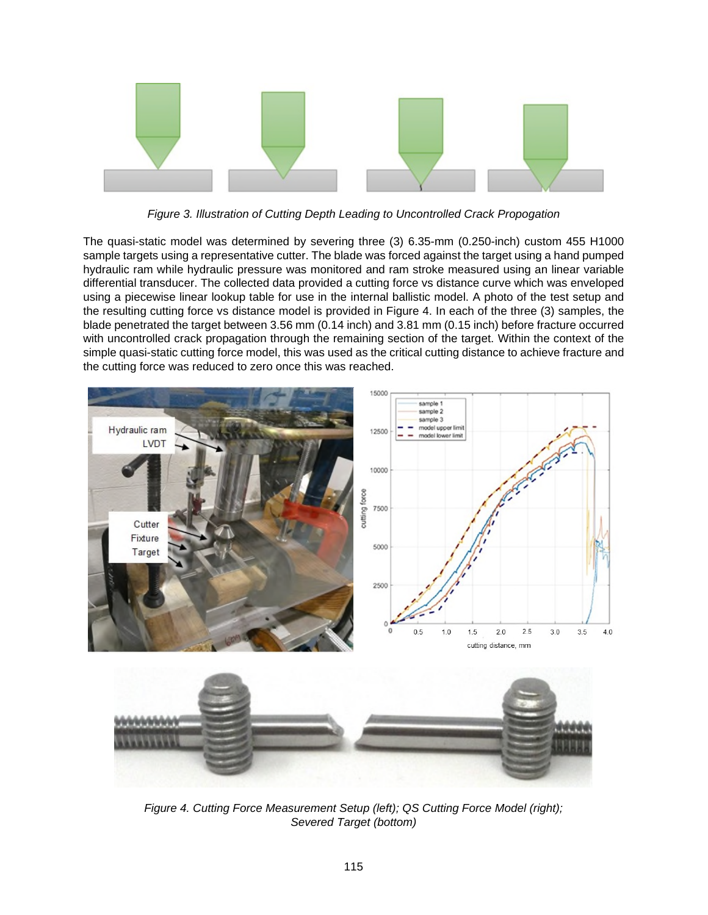

*Figure 3. Illustration of Cutting Depth Leading to Uncontrolled Crack Propogation* 

The quasi-static model was determined by severing three (3) 6.35-mm (0.250-inch) custom 455 H1000 sample targets using a representative cutter. The blade was forced against the target using a hand pumped hydraulic ram while hydraulic pressure was monitored and ram stroke measured using an linear variable differential transducer. The collected data provided a cutting force vs distance curve which was enveloped using a piecewise linear lookup table for use in the internal ballistic model. A photo of the test setup and the resulting cutting force vs distance model is provided in Figure 4. In each of the three (3) samples, the blade penetrated the target between 3.56 mm (0.14 inch) and 3.81 mm (0.15 inch) before fracture occurred with uncontrolled crack propagation through the remaining section of the target. Within the context of the simple quasi-static cutting force model, this was used as the critical cutting distance to achieve fracture and the cutting force was reduced to zero once this was reached.



*Figure 4. Cutting Force Measurement Setup (left); QS Cutting Force Model (right); Severed Target (bottom)*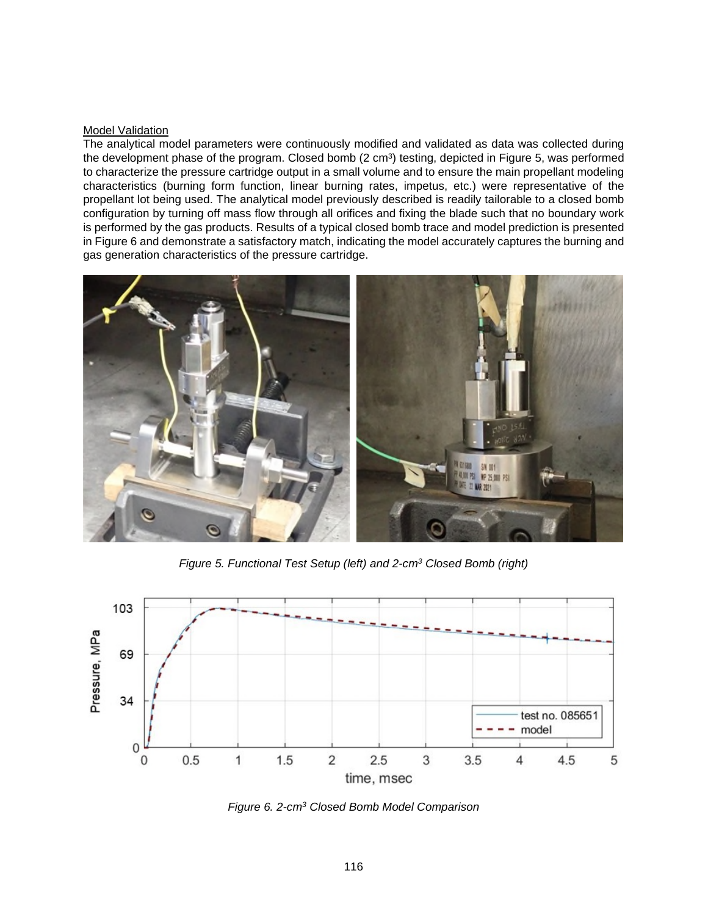### Model Validation

The analytical model parameters were continuously modified and validated as data was collected during the development phase of the program. Closed bomb (2 cm<sup>3</sup>) testing, depicted in Figure 5, was performed to characterize the pressure cartridge output in a small volume and to ensure the main propellant modeling characteristics (burning form function, linear burning rates, impetus, etc.) were representative of the propellant lot being used. The analytical model previously described is readily tailorable to a closed bomb configuration by turning off mass flow through all orifices and fixing the blade such that no boundary work is performed by the gas products. Results of a typical closed bomb trace and model prediction is presented in Figure 6 and demonstrate a satisfactory match, indicating the model accurately captures the burning and gas generation characteristics of the pressure cartridge.



*Figure 5. Functional Test Setup (left) and 2-cm<sup>3</sup> Closed Bomb (right)* 



*Figure 6. 2-cm<sup>3</sup> Closed Bomb Model Comparison*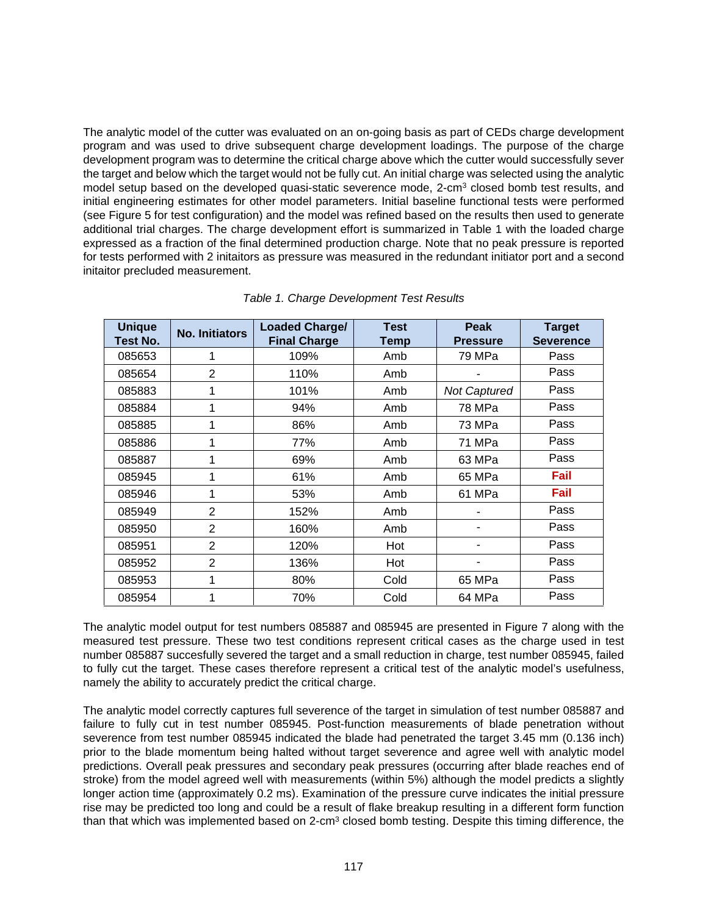The analytic model of the cutter was evaluated on an on-going basis as part of CEDs charge development program and was used to drive subsequent charge development loadings. The purpose of the charge development program was to determine the critical charge above which the cutter would successfully sever the target and below which the target would not be fully cut. An initial charge was selected using the analytic model setup based on the developed quasi-static severence mode, 2-cm<sup>3</sup> closed bomb test results, and initial engineering estimates for other model parameters. Initial baseline functional tests were performed (see Figure 5 for test configuration) and the model was refined based on the results then used to generate additional trial charges. The charge development effort is summarized in Table 1 with the loaded charge expressed as a fraction of the final determined production charge. Note that no peak pressure is reported for tests performed with 2 initaitors as pressure was measured in the redundant initiator port and a second initaitor precluded measurement.

| <b>Unique</b><br>Test No. | <b>No. Initiators</b> | <b>Loaded Charge/</b><br><b>Final Charge</b> | <b>Test</b><br>Temp | Peak<br><b>Pressure</b> | <b>Target</b><br><b>Severence</b> |
|---------------------------|-----------------------|----------------------------------------------|---------------------|-------------------------|-----------------------------------|
| 085653                    | 1                     | 109%                                         | Amb                 | 79 MPa                  | Pass                              |
| 085654                    | 2                     | 110%                                         | Amb                 |                         | Pass                              |
| 085883                    | 1                     | 101%                                         | Amb                 | <b>Not Captured</b>     | Pass                              |
| 085884                    | 1                     | 94%                                          | Amb                 | 78 MPa                  | Pass                              |
| 085885                    | 1                     | 86%                                          | Amb                 | 73 MPa                  | Pass                              |
| 085886                    | 1                     | 77%                                          | Amb                 | 71 MPa                  | Pass                              |
| 085887                    | 1                     | 69%                                          | Amb                 | 63 MPa                  | Pass                              |
| 085945                    | 1                     | 61%                                          | Amb                 | 65 MPa                  | Fail                              |
| 085946                    | 1                     | 53%                                          | Amb                 | 61 MPa                  | Fail                              |
| 085949                    | $\overline{2}$        | 152%                                         | Amb                 |                         | Pass                              |
| 085950                    | 2                     | 160%                                         | Amb                 | ۰                       | Pass                              |
| 085951                    | $\overline{2}$        | 120%                                         | Hot                 |                         | Pass                              |
| 085952                    | $\overline{2}$        | 136%                                         | Hot                 |                         | Pass                              |
| 085953                    | 1                     | 80%                                          | Cold                | 65 MPa                  | Pass                              |
| 085954                    | 1                     | 70%                                          | Cold                | 64 MPa                  | Pass                              |

*Table 1. Charge Development Test Results* 

The analytic model output for test numbers 085887 and 085945 are presented in Figure 7 along with the measured test pressure. These two test conditions represent critical cases as the charge used in test number 085887 succesfully severed the target and a small reduction in charge, test number 085945, failed to fully cut the target. These cases therefore represent a critical test of the analytic model's usefulness, namely the ability to accurately predict the critical charge.

The analytic model correctly captures full severence of the target in simulation of test number 085887 and failure to fully cut in test number 085945. Post-function measurements of blade penetration without severence from test number 085945 indicated the blade had penetrated the target 3.45 mm (0.136 inch) prior to the blade momentum being halted without target severence and agree well with analytic model predictions. Overall peak pressures and secondary peak pressures (occurring after blade reaches end of stroke) from the model agreed well with measurements (within 5%) although the model predicts a slightly longer action time (approximately 0.2 ms). Examination of the pressure curve indicates the initial pressure rise may be predicted too long and could be a result of flake breakup resulting in a different form function than that which was implemented based on 2-cm<sup>3</sup> closed bomb testing. Despite this timing difference, the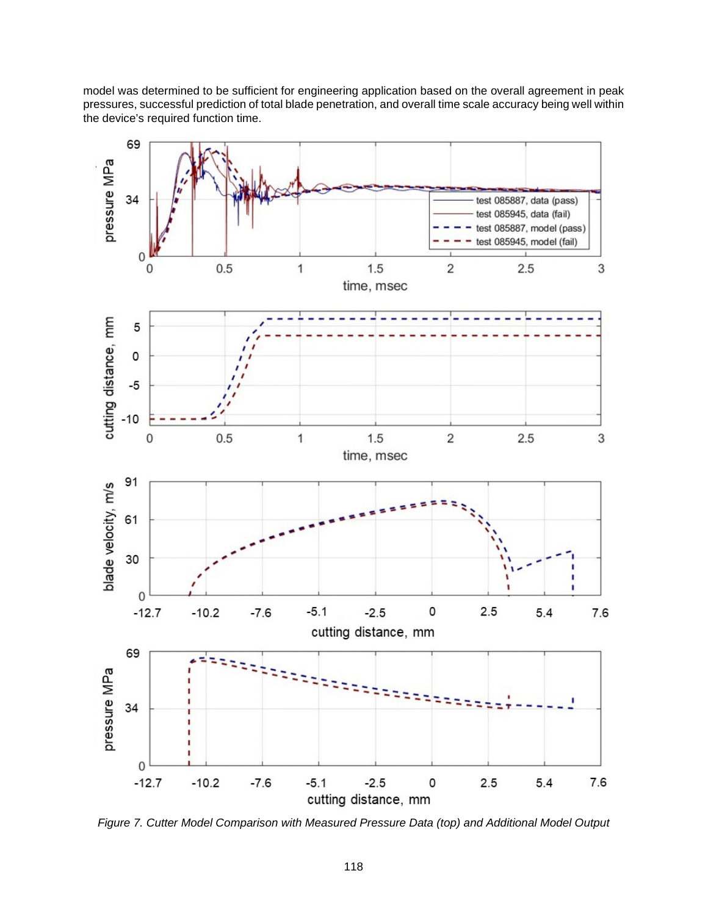model was determined to be sufficient for engineering application based on the overall agreement in peak pressures, successful prediction of total blade penetration, and overall time scale accuracy being well within the device's required function time.



*Figure 7. Cutter Model Comparison with Measured Pressure Data (top) and Additional Model Output*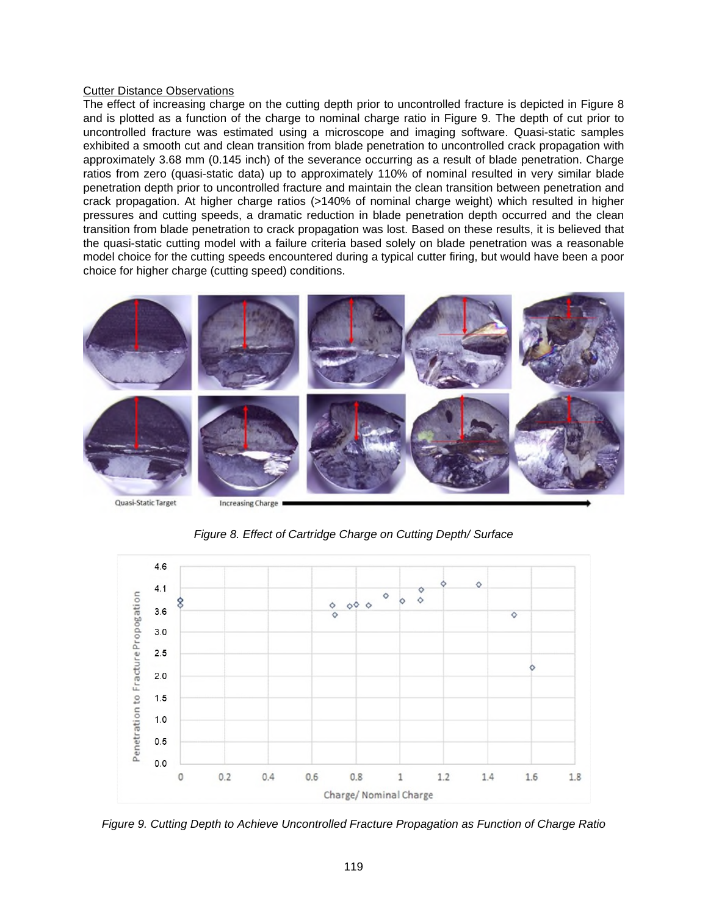# **Cutter Distance Observations**

The effect of increasing charge on the cutting depth prior to uncontrolled fracture is depicted in Figure 8 and is plotted as a function of the charge to nominal charge ratio in Figure 9. The depth of cut prior to uncontrolled fracture was estimated using a microscope and imaging software. Quasi-static samples exhibited a smooth cut and clean transition from blade penetration to uncontrolled crack propagation with approximately 3.68 mm (0.145 inch) of the severance occurring as a result of blade penetration. Charge ratios from zero (quasi-static data) up to approximately 110% of nominal resulted in very similar blade penetration depth prior to uncontrolled fracture and maintain the clean transition between penetration and crack propagation. At higher charge ratios (>140% of nominal charge weight) which resulted in higher pressures and cutting speeds, a dramatic reduction in blade penetration depth occurred and the clean transition from blade penetration to crack propagation was lost. Based on these results, it is believed that the quasi-static cutting model with a failure criteria based solely on blade penetration was a reasonable model choice for the cutting speeds encountered during a typical cutter firing, but would have been a poor choice for higher charge (cutting speed) conditions.



*Figure 8. Effect of Cartridge Charge on Cutting Depth/ Surface* 



*Figure 9. Cutting Depth to Achieve Uncontrolled Fracture Propagation as Function of Charge Ratio*